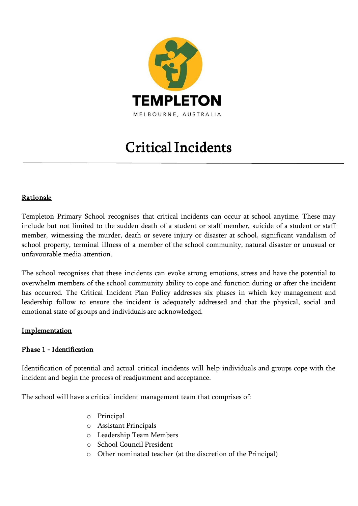

# Critical Incidents

## Rationale

Templeton Primary School recognises that critical incidents can occur at school anytime. These may include but not limited to the sudden death of a student or staff member, suicide of a student or staff member, witnessing the murder, death or severe injury or disaster at school, significant vandalism of school property, terminal illness of a member of the school community, natural disaster or unusual or unfavourable media attention.

The school recognises that these incidents can evoke strong emotions, stress and have the potential to overwhelm members of the school community ability to cope and function during or after the incident has occurred. The Critical Incident Plan Policy addresses six phases in which key management and leadership follow to ensure the incident is adequately addressed and that the physical, social and emotional state of groups and individuals are acknowledged.

## **Implementation**

## Phase 1 - Identification

Identification of potential and actual critical incidents will help individuals and groups cope with the incident and begin the process of readjustment and acceptance.

The school will have a critical incident management team that comprises of:

- o Principal
- o Assistant Principals
- o Leadership Team Members
- o School Council President
- o Other nominated teacher (at the discretion of the Principal)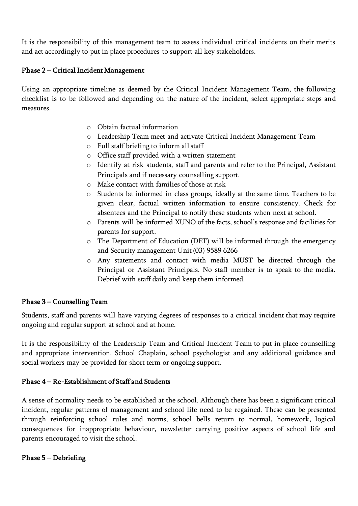It is the responsibility of this management team to assess individual critical incidents on their merits and act accordingly to put in place procedures to support all key stakeholders.

#### Phase 2 – Critical Incident Management

Using an appropriate timeline as deemed by the Critical Incident Management Team, the following checklist is to be followed and depending on the nature of the incident, select appropriate steps and measures.

- o Obtain factual information
- o Leadership Team meet and activate Critical Incident Management Team
- o Full staff briefing to inform all staff
- o Office staff provided with a written statement
- o Identify at risk students, staff and parents and refer to the Principal, Assistant Principals and if necessary counselling support.
- o Make contact with families of those at risk
- o Students be informed in class groups, ideally at the same time. Teachers to be given clear, factual written information to ensure consistency. Check for absentees and the Principal to notify these students when next at school.
- o Parents will be informed XUNO of the facts, school's response and facilities for parents for support.
- o The Department of Education (DET) will be informed through the emergency and Security management Unit (03) 9589 6266
- o Any statements and contact with media MUST be directed through the Principal or Assistant Principals. No staff member is to speak to the media. Debrief with staff daily and keep them informed.

## Phase 3 – Counselling Team

Students, staff and parents will have varying degrees of responses to a critical incident that may require ongoing and regular support at school and at home.

It is the responsibility of the Leadership Team and Critical Incident Team to put in place counselling and appropriate intervention. School Chaplain, school psychologist and any additional guidance and social workers may be provided for short term or ongoing support.

#### Phase 4 – Re-Establishment of Staff and Students

A sense of normality needs to be established at the school. Although there has been a significant critical incident, regular patterns of management and school life need to be regained. These can be presented through reinforcing school rules and norms, school bells return to normal, homework, logical consequences for inappropriate behaviour, newsletter carrying positive aspects of school life and parents encouraged to visit the school.

## Phase 5 – Debriefing